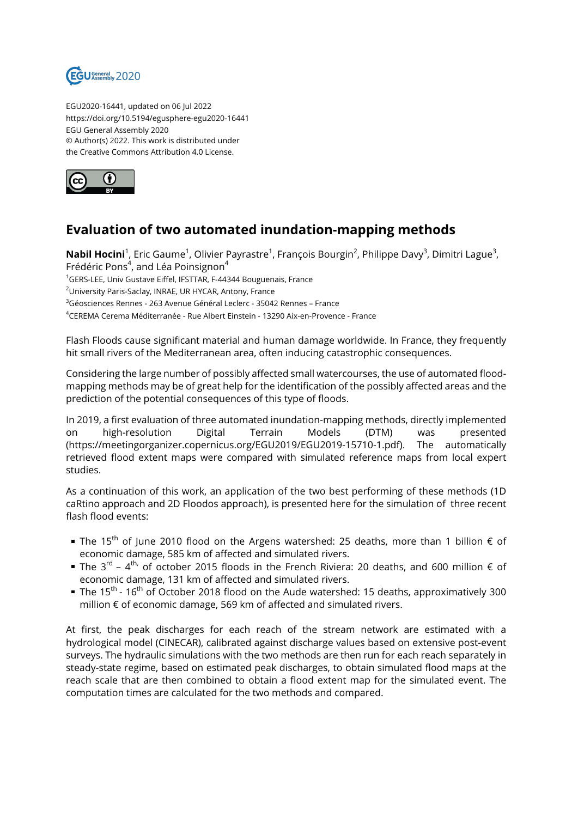

EGU2020-16441, updated on 06 Jul 2022 https://doi.org/10.5194/egusphere-egu2020-16441 EGU General Assembly 2020 © Author(s) 2022. This work is distributed under the Creative Commons Attribution 4.0 License.



## **Evaluation of two automated inundation-mapping methods**

**Nabil Hocini**<sup>1</sup>, Eric Gaume<sup>1</sup>, Olivier Payrastre<sup>1</sup>, François Bourgin<sup>2</sup>, Philippe Davy<sup>3</sup>, Dimitri Lague<sup>3</sup>, Frédéric Pons $^4$ , and Léa Poinsignon $^4$ 

<sup>1</sup>GERS-LEE, Univ Gustave Eiffel, IFSTTAR, F-44344 Bouguenais, France

<sup>2</sup>University Paris-Saclay, INRAE, UR HYCAR, Antony, France

<sup>3</sup>Géosciences Rennes - 263 Avenue Général Leclerc - 35042 Rennes – France

<sup>4</sup>CEREMA Cerema Méditerranée - Rue Albert Einstein - 13290 Aix-en-Provence - France

Flash Floods cause significant material and human damage worldwide. In France, they frequently hit small rivers of the Mediterranean area, often inducing catastrophic consequences.

Considering the large number of possibly affected small watercourses, the use of automated floodmapping methods may be of great help for the identification of the possibly affected areas and the prediction of the potential consequences of this type of floods.

In 2019, a first evaluation of three automated inundation-mapping methods, directly implemented on high-resolution Digital Terrain Models (DTM) was presented (https://meetingorganizer.copernicus.org/EGU2019/EGU2019-15710-1.pdf). The automatically retrieved flood extent maps were compared with simulated reference maps from local expert studies.

As a continuation of this work, an application of the two best performing of these methods (1D caRtino approach and 2D Floodos approach), is presented here for the simulation of three recent flash flood events:

- The 15<sup>th</sup> of June 2010 flood on the Argens watershed: 25 deaths, more than 1 billion  $\epsilon$  of economic damage, 585 km of affected and simulated rivers.
- The 3<sup>rd</sup> 4<sup>th,</sup> of october 2015 floods in the French Riviera: 20 deaths, and 600 million € of economic damage, 131 km of affected and simulated rivers.
- The 15<sup>th</sup> 16<sup>th</sup> of October 2018 flood on the Aude watershed: 15 deaths, approximatively 300 million € of economic damage, 569 km of affected and simulated rivers.

At first, the peak discharges for each reach of the stream network are estimated with a hydrological model (CINECAR), calibrated against discharge values based on extensive post-event surveys. The hydraulic simulations with the two methods are then run for each reach separately in steady-state regime, based on estimated peak discharges, to obtain simulated flood maps at the reach scale that are then combined to obtain a flood extent map for the simulated event. The computation times are calculated for the two methods and compared.